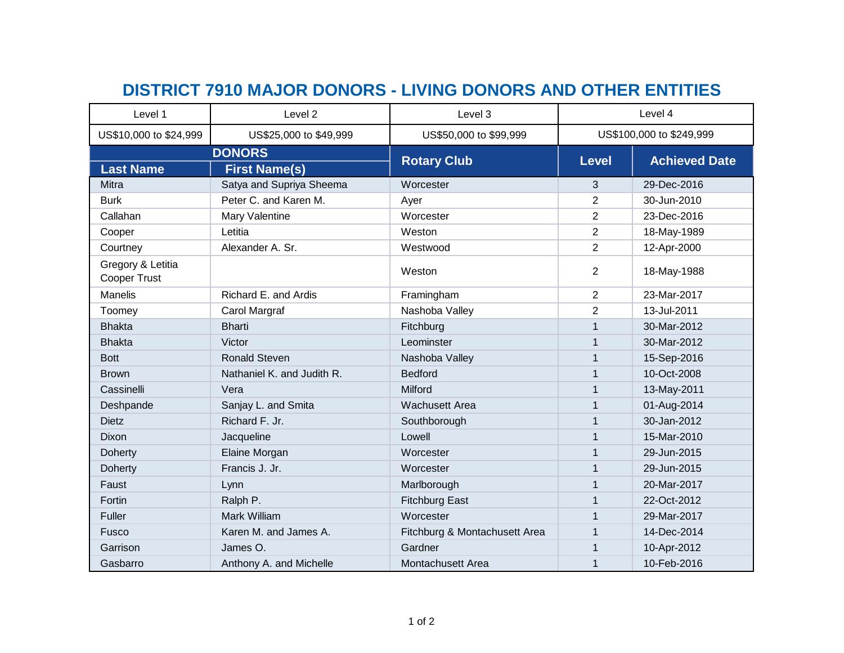## **DISTRICT 7910 MAJOR DONORS - LIVING DONORS AND OTHER ENTITIES**

| Level 1                           | Level 2                    | Level 3                       | Level 4                  |                      |
|-----------------------------------|----------------------------|-------------------------------|--------------------------|----------------------|
| US\$10,000 to \$24,999            | US\$25,000 to \$49,999     | US\$50,000 to \$99,999        | US\$100,000 to \$249,999 |                      |
| <b>DONORS</b>                     |                            |                               |                          |                      |
| <b>Last Name</b>                  | <b>First Name(s)</b>       | <b>Rotary Club</b>            | <b>Level</b>             | <b>Achieved Date</b> |
| Mitra                             | Satya and Supriya Sheema   | Worcester                     | 3                        | 29-Dec-2016          |
| <b>Burk</b>                       | Peter C. and Karen M.      | Ayer                          | 2                        | 30-Jun-2010          |
| Callahan                          | Mary Valentine             | Worcester                     | $\overline{2}$           | 23-Dec-2016          |
| Cooper                            | Letitia                    | Weston                        | $\overline{2}$           | 18-May-1989          |
| Courtney                          | Alexander A. Sr.           | Westwood                      | $\overline{2}$           | 12-Apr-2000          |
| Gregory & Letitia<br>Cooper Trust |                            | Weston                        | 2                        | 18-May-1988          |
| <b>Manelis</b>                    | Richard E. and Ardis       | Framingham                    | $\overline{2}$           | 23-Mar-2017          |
| Toomey                            | Carol Margraf              | Nashoba Valley                | $\overline{c}$           | 13-Jul-2011          |
| <b>Bhakta</b>                     | <b>Bharti</b>              | Fitchburg                     | $\mathbf{1}$             | 30-Mar-2012          |
| <b>Bhakta</b>                     | Victor                     | Leominster                    |                          | 30-Mar-2012          |
| <b>Bott</b>                       | <b>Ronald Steven</b>       | Nashoba Valley                | 1                        | 15-Sep-2016          |
| <b>Brown</b>                      | Nathaniel K. and Judith R. | <b>Bedford</b>                |                          | 10-Oct-2008          |
| Cassinelli                        | Vera                       | Milford                       | 1                        | 13-May-2011          |
| Deshpande                         | Sanjay L. and Smita        | <b>Wachusett Area</b>         | $\mathbf 1$              | 01-Aug-2014          |
| <b>Dietz</b>                      | Richard F. Jr.             | Southborough                  |                          | 30-Jan-2012          |
| <b>Dixon</b>                      | Jacqueline                 | Lowell                        | $\mathbf 1$              | 15-Mar-2010          |
| <b>Doherty</b>                    | Elaine Morgan              | Worcester                     |                          | 29-Jun-2015          |
| <b>Doherty</b>                    | Francis J. Jr.             | Worcester                     | $\mathbf 1$              | 29-Jun-2015          |
| Faust                             | Lynn                       | Marlborough                   |                          | 20-Mar-2017          |
| Fortin                            | Ralph P.                   | <b>Fitchburg East</b>         | 1                        | 22-Oct-2012          |
| Fuller                            | Mark William               | Worcester                     |                          | 29-Mar-2017          |
| Fusco                             | Karen M. and James A.      | Fitchburg & Montachusett Area | $\mathbf{1}$             | 14-Dec-2014          |
| Garrison                          | James O.                   | Gardner                       |                          | 10-Apr-2012          |
| Gasbarro                          | Anthony A. and Michelle    | Montachusett Area             | $\mathbf 1$              | 10-Feb-2016          |